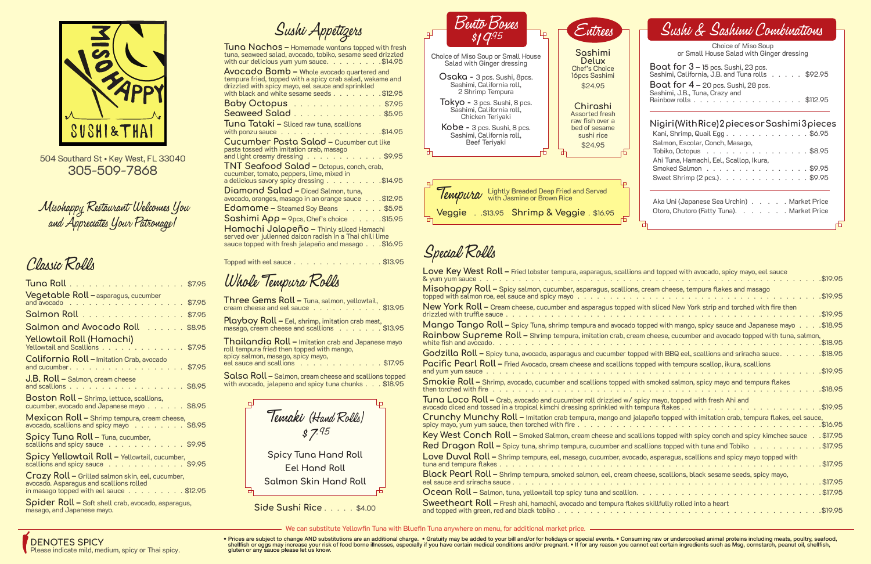### Classic Rolls

| Vegetable Roll - asparagus, cucumber<br>and avocado \$7.95                                                                             |
|----------------------------------------------------------------------------------------------------------------------------------------|
| Salmon Roll \$7.95                                                                                                                     |
| Salmon and Avocado Roll \$8.95                                                                                                         |
| Yellowtail Roll (Hamachi)<br>Yellowtail and Scallions \$7.95                                                                           |
| California Roll - Imitation Crab, avocado<br>and cucumber. \$7.95                                                                      |
| J.B. Roll - Salmon, cream cheese<br>and scallions $\ldots$ , $\ldots$ , $\ldots$ , $\ldots$ , $\text{\$8.95}$                          |
| <b>Boston Roll - Shrimp, lettuce, scallions,</b><br>cucumber, avocado and Japanese mayo \$8.95                                         |
| Mexican Roll - Shrimp tempura, cream cheese,<br>avocado, scallions and spicy mayo \$8.95                                               |
| Spicy Tuna Roll - Tuna, cucumber,<br>scallions and spicy sauce \$9.95                                                                  |
| Spicy Yellowtail Roll - Yellowtail, cucumber,<br>scallions and spicy sauce \$9.95                                                      |
| Crazy Roll - Grilled salmon skin, eel, cucumber,<br>avocado. Asparagus and scallions rolled<br>in masago topped with eel sauce \$12.95 |
| Spider Roll - Soft shell crab, avocado, asparagus,                                                                                     |

**Three Gems Roll –** Tuna, salmon, yellowtail, cream cheese and eel sauce . . . . . . . . . . . \$13.95 **Playboy Roll –** Eel, shrimp, imitation crab meat, masago, cream cheese and scallions . . . . . . \$13.95 **Thailandia Roll –** Imitation crab and Japanese mayo roll tempura fried then topped with mango, spicy salmon, masago, spicy mayo, eel sauce and scallions . . . . . . . . . . . . . \$17.95

Topped with eel sauce  $\ldots$ ,  $\ldots$ ,  $\ldots$ ,  $\ldots$ ,  $\text{\$13.95}$ 

**Salsa Roll –** Salmon, cream cheese and scallions topped with avocado, jalapeno and spicy tuna chunks  $\ldots$  \$18.95

**Spider Roll –** Soft shell crab, avocado, asparagus, masago, and Japanese mayo.

### Whole Tempura Rolls

• Prices are subject to change AND substitutions are an additional charge. • Gratuity may be added to your bill and/or for holidays or special events. • Consuming raw or undercooked animal proteins including meats, poultry shellfish or eggs may increase your risk of food borne illnesses, especially if you have certain medical conditions and/or pregnant. . If for any reason you cannot eat certain ingredients such as Msg, cornstarch, peanut oi gluten or any sauce please let us know.

Misohappy Restaurant Welcomes You and Appreciates Your Patronage !



504 Southard St • Key West, FL 33040 305-509-7868

# Special Rolls

**Tuna Nachos –** Homemade wontons topped with fresh tuna, seaweed salad, avocado, tobiko, sesame seed drizzled with our delicious yum yum sauce.  $\ldots$   $\ldots$   $\ldots$   $\sqrt{314.95}$ 

**Avocado Bomb –** Whole avocado quartered and tempura fried, topped with a spicy crab salad, wakame and drizzled with spicy mayo, eel sauce and sprinkled with black and white sesame seeds  $\ldots$  .  $\ldots$  .  $\text{\$12.95}$ **Baby Octopus** . . . . . . . . . . . . . . \$7.95 **Seaweed Salad** . . . . . . . . . . . . . . \$5.95 **Tuna Tataki –** Sliced raw tuna, scallions with ponzu sauce . . . . . . . . . . . . . . . . \$14.95 **Cucumber Pasta Salad –** Cucumber cut like pasta tossed with imitation crab, masago and light creamy dressing  $\ldots$ .........\$9.95 **TNT Seafood Salad –** Octopus, conch, crab, cucumber, tomato, peppers, lime, mixed in a delicious savory spicy dressing  $\ldots \ldots \ldots$ \$14.95 **Diamond Salad –** Diced Salmon, tuna, avocado, oranges, masago in an orange sauce . . . \$12.95 **Edamame –** Steamed Soy Beans . . . . . . \$5.95 **Sashimi App –** 9pcs, Chef's choice . . . . . \$15.95 **Hamachi Jalapeño –** Thinly sliced Hamachi served over julienned daicon radish in a Thai chili lime sauce topped with fresh jalapeño and masago . . . \$16.95

### Choice of Miso Soup or Small House Salad with Ginger dressing **Boat for 3 –** 15 pcs. Sushi, 23 pcs. Sashimi, California, J.B. and Tuna rolls . . . . . \$92.95 **Boat for 4 –** 20 pcs. Sushi, 28 pcs.<br>Sashimi, J.B., Tuna, Crazy and Rainbow rolls . . . . . . . . . . . . . . . . . \$112.95

| Love Key West Roll – Fried lobster tempura, asparagus, scallions and topped with avocado, spicy mayo, eel sauce<br>\$19.95<br>& vum vum sauce.                                                                                                                                           |  |
|------------------------------------------------------------------------------------------------------------------------------------------------------------------------------------------------------------------------------------------------------------------------------------------|--|
| Misohappy Roll – Spicy salmon, cucumber, asparagus, scallions, cream cheese, tempura flakes and masago<br>\$19.95                                                                                                                                                                        |  |
| New York Roll – Cream cheese, cucumber and asparagus topped with sliced New York strip and torched with fire then<br>\$19.95<br>drizzled with truffle sauce.                                                                                                                             |  |
| Mango Tango Roll – Spicy Tuna, shrimp tempura and avocado topped with mango, spicy sauce and Japanese mayo\$18.95                                                                                                                                                                        |  |
| Rainbow Supreme Roll – Shrimp tempura, imitation crab, cream cheese, cucumber and avocado topped with tuna, salmon,<br>white fish and avocado.<br>.\$18.95                                                                                                                               |  |
| Godzilla Roll – Spicy tuna, avocado, asparagus and cucumber topped with BBQ eel, scallions and sriracha sauce.<br>\$18.95                                                                                                                                                                |  |
| Pacific Pearl Roll - Fried Avocado, cream cheese and scallions topped with tempura scallop, ikura, scallions<br>\$19.95.                                                                                                                                                                 |  |
| Smokie Roll – Shrimp, avocado, cucumber and scallions topped with smoked salmon, spicy mayo and tempura flakes<br>\$18.95<br>then torched with fire                                                                                                                                      |  |
| Tuna Loco Roll - Crab, avocado and cucumber roll drizzled w/ spicy mayo, topped with fresh Ahi and<br>.\$19.95                                                                                                                                                                           |  |
| Crunchy Munchy Roll – Imitation crab tempura, mango and jalapeño topped with imitation crab, tempura flakes, eel sauce,<br>spicy mayo, yum yum sauce, then torched with fire $\ldots$ , $\ldots$ , $\ldots$ , $\ldots$ , $\ldots$ , $\ldots$ , $\ldots$ , $\ldots$ , $\ldots$<br>\$16.95 |  |
| Key West Conch Roll – Smoked Salmon, cream cheese and scallions topped with spicy conch and spicy kimchee sauce<br>$.$ $$17.95$                                                                                                                                                          |  |
| Red Dragon Roll – Spicy tuna, shrimp tempura, cucumber and scallions topped with tuna and Tobiko $\dots \dots \dots$<br>\$17.95                                                                                                                                                          |  |
| Love Duval Roll – Shrimp tempura, eel, masago, cucumber, avocado, asparagus, scallions and spicy mayo topped with<br>\$17.95                                                                                                                                                             |  |
| Black Pearl Roll – Shrimp tempura, smoked salmon, eel, cream cheese, scallions, black sesame seeds, spicy mayo,<br>\$17.95                                                                                                                                                               |  |
| \$17.95                                                                                                                                                                                                                                                                                  |  |
| <b>Sweetheart Roll – Fresh ahi, hamachi, avocado and tempura flakes skillfully rolled into a heart</b><br>\$19.95                                                                                                                                                                        |  |

Temaki (Hand Rolls) \$7.95 **Spicy Tuna Hand Roll Eel Hand Roll Salmon Skin Hand Roll**

**Side Sushi Rice . . . . . \$4.00** 



### **Nigiri (With Rice) 2 pieces or Sashimi 3 pieces**

| Kani, Shrimp, Quail Egg. $\ldots$ . $\ldots$ . $\ldots$ . $\ldots$ . \$6.95                               |  |
|-----------------------------------------------------------------------------------------------------------|--|
| Salmon, Escolar, Conch, Masago,<br>Tobiko, Octopus $\ldots$ , $\ldots$ , $\ldots$ , $\ldots$ , $\$8.95$   |  |
| Ahi Tuna, Hamachi, Eel, Scallop, Ikura,<br>Smoked Salmon \$9.95<br>Sweet Shrimp $(2 \text{ pcs.})$ \$9.95 |  |

| Aka Uni (Japanese Sea Urchin) Market Price |  |  |  |
|--------------------------------------------|--|--|--|
| Otoro, Chutoro (Fatty Tuna). Market Price  |  |  |  |
|                                            |  |  |  |

| and topped with avocado, spicy mayo, eel sauce                    |
|-------------------------------------------------------------------|
| \$19.95                                                           |
| cream cheese, tempura flakes and masago<br>.\$19.95               |
| vith sliced New York strip and torched with fire then             |
| .\$19.95                                                          |
| opped with mango, spicy sauce and Japanese mayo<br>\$18.95        |
| m cheese, cucumber and avocado topped with tuna, salmon,          |
| \$18.95                                                           |
| ed with BBQ eel, scallions and sriracha sauce.<br>\$18.95         |
| pped with tempura scallop, ikura, scallions                       |
| \$19.95                                                           |
| h smoked salmon, spicy mayo and tempura flakes:<br>.\$18.95       |
| icy mayo, topped with fresh Ahi and                               |
| \$19.95<br>mpura flakes.                                          |
| apeño topped with imitation crab, tempura flakes, eel sauce,      |
| \$16.95                                                           |
| .\$17.95<br>lions topped with spicy conch and spicy kimchee sauce |
| .\$17.95<br>allions topped with tuna and Tobiko                   |
| do, asparagus, scallions and spicy mayo topped with               |
| .\$17.95                                                          |
| ieese, scallions, black sesame seeds, spicy mayo,                 |
| \$17.95                                                           |
| . \$17.95                                                         |
| s skillfully rolled into a heart                                  |
| $.$ \$19.95                                                       |
|                                                                   |

We can substitute Yellowfin Tuna with Bluefin Tuna anywhere on menu, for additional market price.